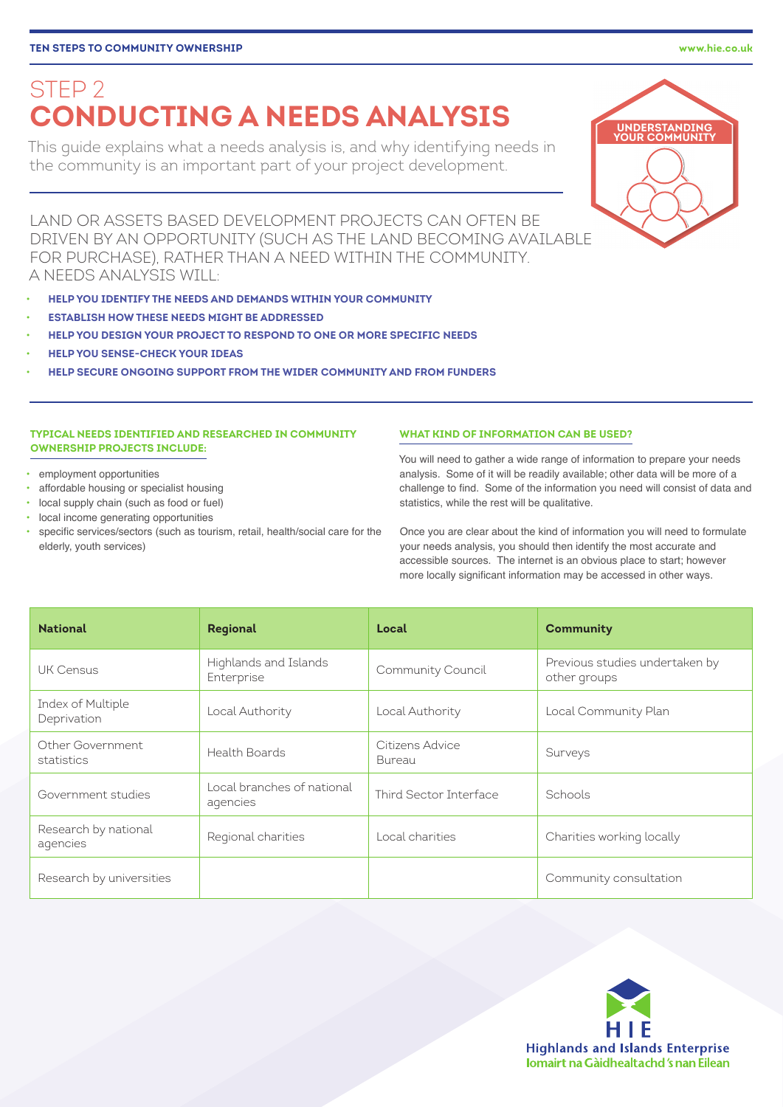# **[TEN STEPS TO COMMUNITY OWNERSHIP](http://www.hie.co.uk/community-support/community-assets/ten-steps.html) www.hie.co.uk**

# STEP 2 **CONDUCTING A NEEDS ANALYSIS**

This guide explains what a needs analysis is, and why identifying needs in the community is an important part of your project development.

LAND OR ASSETS BASED DEVELOPMENT PROJECTS CAN OFTEN BE DRIVEN BY AN OPPORTUNITY (SUCH AS THE LAND BECOMING AVAILABLE FOR PURCHASE), RATHER THAN A NEED WITHIN THE COMMUNITY. A NEEDS ANALYSIS WILL:

- **HELP YOU IDENTIFY THE NEEDS AND DEMANDS WITHIN YOUR COMMUNITY**
- **ESTABLISH HOW THESE NEEDS MIGHT BE ADDRESSED**
- **HELP YOU DESIGN YOUR PROJECT TO RESPOND TO ONE OR MORE SPECIFIC NEEDS**
- **HELP YOU SENSE-CHECK YOUR IDEAS**
- **HELP SECURE ONGOING SUPPORT FROM THE WIDER COMMUNITY AND FROM FUNDERS**

# **TYPICAL NEEDS IDENTIFIED AND RESEARCHED IN COMMUNITY OWNERSHIP PROJECTS INCLUDE:**

- employment opportunities
- affordable housing or specialist housing
- local supply chain (such as food or fuel)
- local income generating opportunities
- specific services/sectors (such as tourism, retail, health/social care for the elderly, youth services)

## **WHAT KIND OF INFORMATION CAN BE USED?**

You will need to gather a wide range of information to prepare your needs analysis. Some of it will be readily available; other data will be more of a challenge to find. Some of the information you need will consist of data and statistics, while the rest will be qualitative.

Once you are clear about the kind of information you will need to formulate your needs analysis, you should then identify the most accurate and accessible sources. The internet is an obvious place to start; however more locally significant information may be accessed in other ways.

| <b>National</b>                  | Regional                               | Local                     | <b>Community</b>                               |
|----------------------------------|----------------------------------------|---------------------------|------------------------------------------------|
| UK Census                        | Highlands and Islands<br>Enterprise    | Community Council         | Previous studies undertaken by<br>other groups |
| Index of Multiple<br>Deprivation | Local Authority                        | Local Authority           | Local Community Plan                           |
| Other Government<br>statistics   | Health Boards                          | Citizens Advice<br>Bureau | Surveys                                        |
| Government studies               | Local branches of national<br>agencies | Third Sector Interface    | Schools                                        |
| Research by national<br>agencies | Regional charities                     | Local charities           | Charities working locally                      |
| Research by universities         |                                        |                           | Community consultation                         |